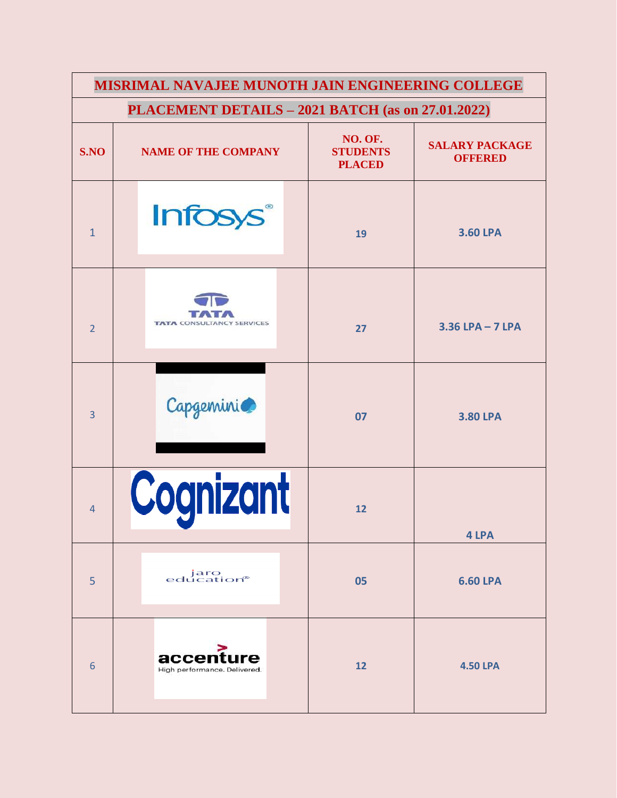| MISRIMAL NAVAJEE MUNOTH JAIN ENGINEERING COLLEGE |                                                   |                                             |                                         |  |  |  |  |
|--------------------------------------------------|---------------------------------------------------|---------------------------------------------|-----------------------------------------|--|--|--|--|
|                                                  | PLACEMENT DETAILS - 2021 BATCH (as on 27.01.2022) |                                             |                                         |  |  |  |  |
| S.NO                                             | <b>NAME OF THE COMPANY</b>                        | NO. OF.<br><b>STUDENTS</b><br><b>PLACED</b> | <b>SALARY PACKAGE</b><br><b>OFFERED</b> |  |  |  |  |
| $\mathbf{1}$                                     | <b>Infosys</b> ®                                  | 19                                          | <b>3.60 LPA</b>                         |  |  |  |  |
| $\overline{2}$                                   | <b>TATA CONSU</b><br><b>LTANCY SERVICES</b>       | 27                                          | $3.36$ LPA - 7 LPA                      |  |  |  |  |
| $\overline{3}$                                   | Capgemini                                         | 07                                          | <b>3.80 LPA</b>                         |  |  |  |  |
| $\overline{4}$                                   | Cognizant                                         | 12                                          | 4 LPA                                   |  |  |  |  |
| 5                                                | jaro<br>education®                                | 05                                          | <b>6.60 LPA</b>                         |  |  |  |  |
| 6                                                | accenture<br>High performance. Delivered.         | 12                                          | <b>4.50 LPA</b>                         |  |  |  |  |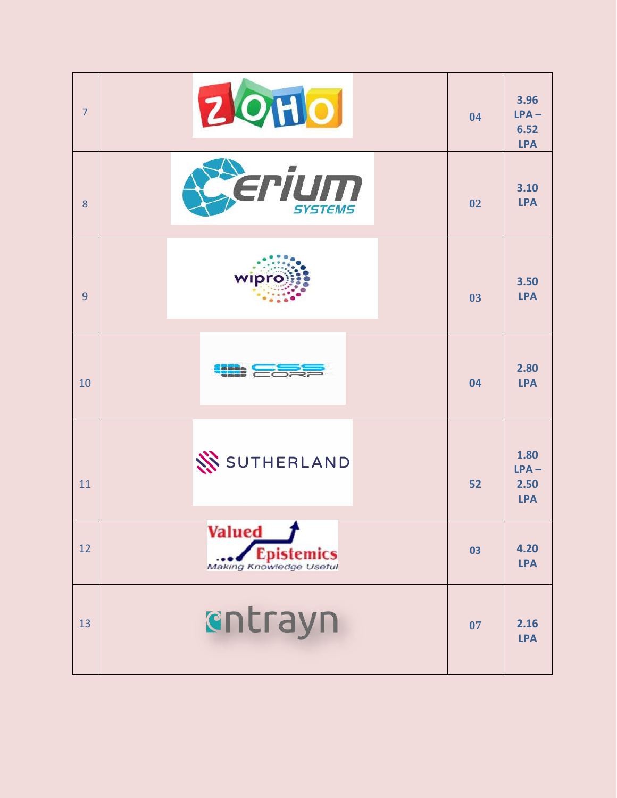| 7  | <b>ZOHO</b>                                                          | 04 | 3.96<br>$LPA -$<br>6.52<br><b>LPA</b> |
|----|----------------------------------------------------------------------|----|---------------------------------------|
| 8  | erium<br><b>SYSTEMS</b>                                              | 02 | 3.10<br><b>LPA</b>                    |
| 9  | <b>wipro</b>                                                         | 03 | 3.50<br><b>LPA</b>                    |
| 10 |                                                                      | 04 | 2.80<br><b>LPA</b>                    |
| 11 | SUTHERLAND                                                           | 52 | 1.80<br>$LPA -$<br>2.50<br><b>LPA</b> |
| 12 | <b>Valued</b><br><b>Epistemics</b><br><b>Making Knowledge Useful</b> | 03 | 4.20<br><b>LPA</b>                    |
| 13 | cntrayn                                                              | 07 | 2.16<br><b>LPA</b>                    |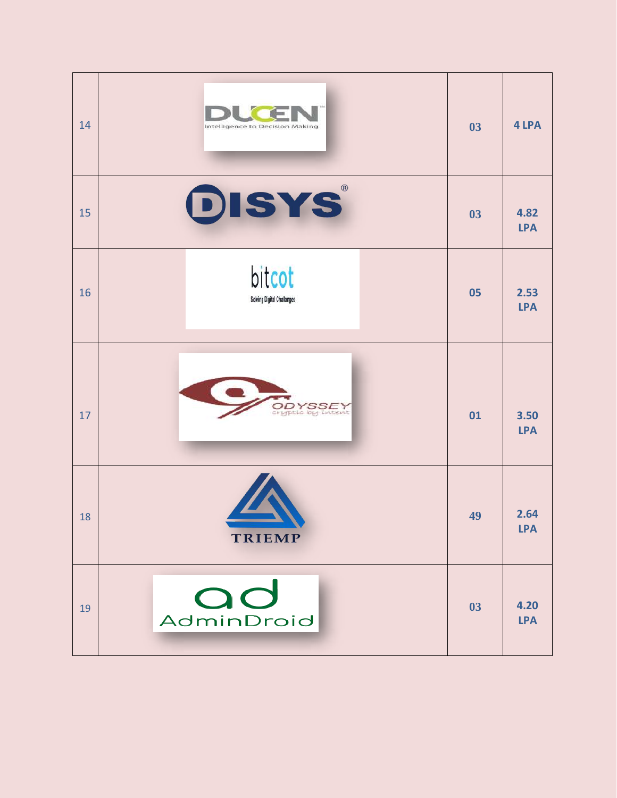| 14 | Intelligence to Decision Making                  | 03 | 4 LPA              |
|----|--------------------------------------------------|----|--------------------|
| 15 | DISYS                                            | 03 | 4.82<br><b>LPA</b> |
| 16 | bitcot<br>Solving Digital Challanges             | 05 | 2.53<br><b>LPA</b> |
| 17 | <b>DDYSSEY</b><br>Pyptic by intent               | 01 | 3.50<br><b>LPA</b> |
| 18 | <b>The Second Second Second</b><br><b>TRIEMP</b> | 49 | 2.64<br><b>LPA</b> |
| 19 | AdminDroid                                       | 03 | 4.20<br><b>LPA</b> |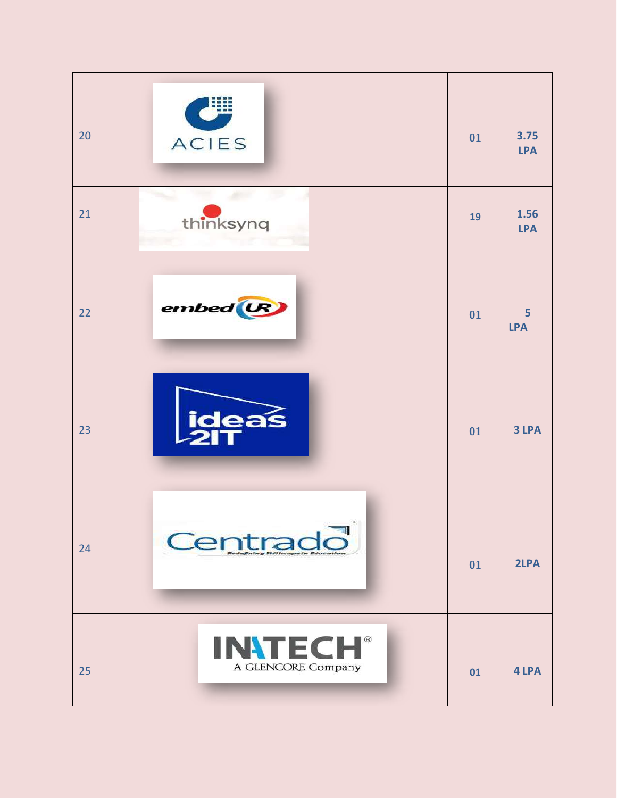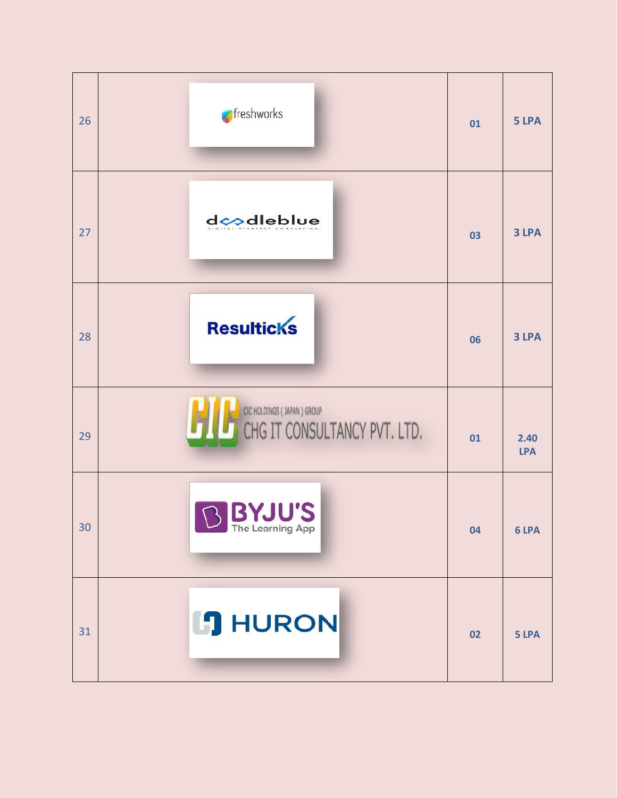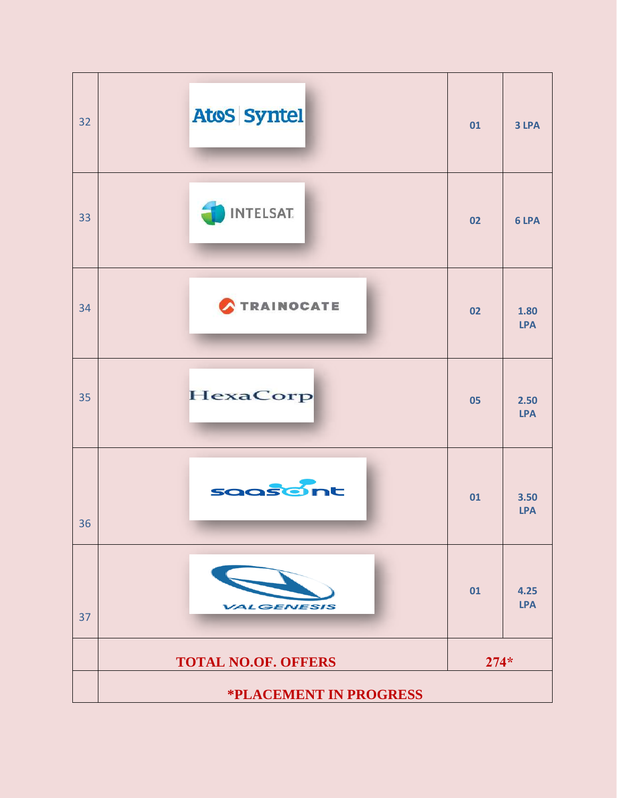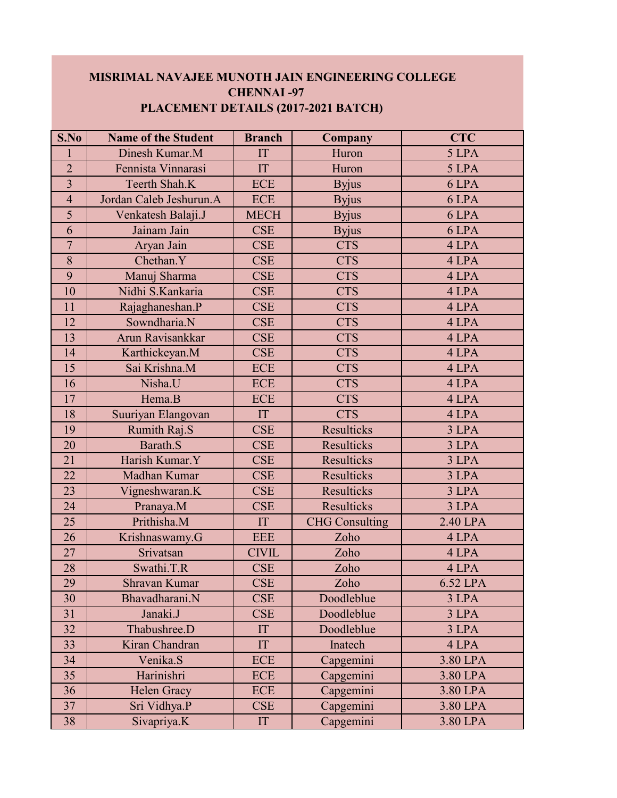## **MISRIMAL NAVAJEE MUNOTH JAIN ENGINEERING COLLEGE CHENNAI -97 PLACEMENT DETAILS (2017-2021 BATCH)**

| S.No           | <b>Name of the Student</b> | <b>Branch</b> | Company               | <b>CTC</b> |
|----------------|----------------------------|---------------|-----------------------|------------|
| 1              | Dinesh Kumar.M             | IT            | Huron                 | 5 LPA      |
| $\overline{2}$ | Fennista Vinnarasi         | IT            | Huron                 | 5 LPA      |
| $\overline{3}$ | Teerth Shah.K              | <b>ECE</b>    | <b>Byjus</b>          | 6 LPA      |
| $\overline{4}$ | Jordan Caleb Jeshurun.A    | <b>ECE</b>    | <b>Byjus</b>          | 6 LPA      |
| 5              | Venkatesh Balaji.J         | <b>MECH</b>   | <b>Byjus</b>          | 6 LPA      |
| 6              | Jainam Jain                | <b>CSE</b>    | <b>Byjus</b>          | 6 LPA      |
| $\overline{7}$ | Aryan Jain                 | <b>CSE</b>    | <b>CTS</b>            | 4 LPA      |
| 8              | Chethan.Y                  | <b>CSE</b>    | <b>CTS</b>            | 4 LPA      |
| 9              | Manuj Sharma               | <b>CSE</b>    | <b>CTS</b>            | 4 LPA      |
| 10             | Nidhi S.Kankaria           | <b>CSE</b>    | <b>CTS</b>            | 4 LPA      |
| 11             | Rajaghaneshan.P            | <b>CSE</b>    | <b>CTS</b>            | 4 LPA      |
| 12             | Sowndharia.N               | <b>CSE</b>    | <b>CTS</b>            | 4 LPA      |
| 13             | Arun Ravisankkar           | <b>CSE</b>    | <b>CTS</b>            | 4 LPA      |
| 14             | Karthickeyan.M             | <b>CSE</b>    | <b>CTS</b>            | 4 LPA      |
| 15             | Sai Krishna.M              | <b>ECE</b>    | <b>CTS</b>            | 4 LPA      |
| 16             | Nisha.U                    | <b>ECE</b>    | <b>CTS</b>            | 4 LPA      |
| 17             | Hema.B                     | <b>ECE</b>    | <b>CTS</b>            | 4 LPA      |
| 18             | Suuriyan Elangovan         | IT            | <b>CTS</b>            | 4 LPA      |
| 19             | Rumith Raj.S               | <b>CSE</b>    | <b>Resulticks</b>     | 3 LPA      |
| 20             | Barath.S                   | <b>CSE</b>    | <b>Resulticks</b>     | 3 LPA      |
| 21             | Harish Kumar.Y             | <b>CSE</b>    | Resulticks            | 3 LPA      |
| 22             | Madhan Kumar               | <b>CSE</b>    | <b>Resulticks</b>     | 3 LPA      |
| 23             | Vigneshwaran.K             | <b>CSE</b>    | <b>Resulticks</b>     | 3 LPA      |
| 24             | Pranaya.M                  | <b>CSE</b>    | <b>Resulticks</b>     | 3 LPA      |
| 25             | Prithisha.M                | IT            | <b>CHG</b> Consulting | 2.40 LPA   |
| 26             | Krishnaswamy.G             | <b>EEE</b>    | Zoho                  | 4 LPA      |
| 27             | Srivatsan                  | <b>CIVIL</b>  | Zoho                  | 4 LPA      |
| 28             | Swathi.T.R                 | <b>CSE</b>    | Zoho                  | 4 LPA      |
| 29             | Shravan Kumar              | <b>CSE</b>    | Zoho                  | 6.52 LPA   |
| 30             | Bhavadharani.N             | <b>CSE</b>    | Doodleblue            | 3 LPA      |
| 31             | Janaki.J                   | <b>CSE</b>    | Doodleblue            | 3 LPA      |
| 32             | Thabushree.D               | IT            | Doodleblue            | 3 LPA      |
| 33             | Kiran Chandran             | IT            | Inatech               | 4 LPA      |
| 34             | Venika.S                   | <b>ECE</b>    | Capgemini             | 3.80 LPA   |
| 35             | Harinishri                 | <b>ECE</b>    | Capgemini             | 3.80 LPA   |
| 36             | Helen Gracy                | <b>ECE</b>    | Capgemini             | 3.80 LPA   |
| 37             | Sri Vidhya.P               | <b>CSE</b>    | Capgemini             | 3.80 LPA   |
| 38             | Sivapriya.K                | IT            | Capgemini             | 3.80 LPA   |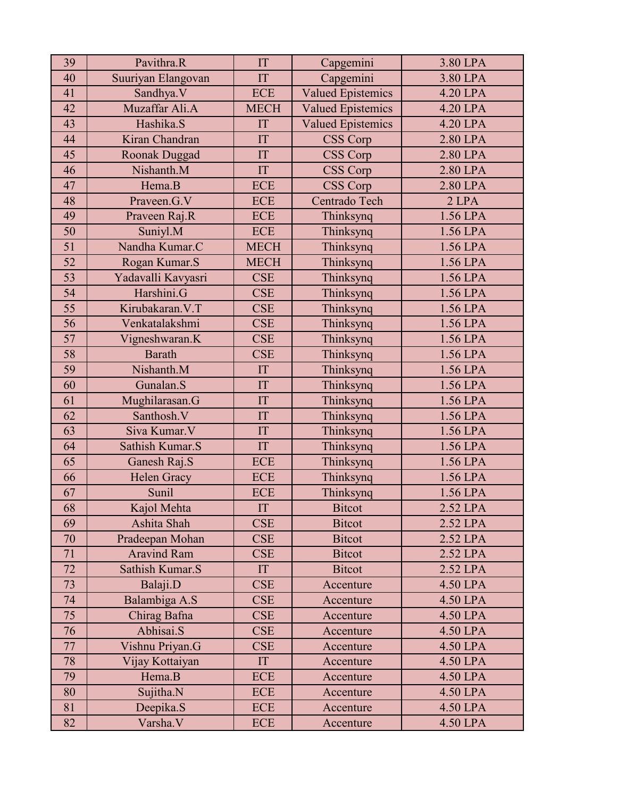| 39 | Pavithra.R         | IT                   | Capgemini                | 3.80 LPA |
|----|--------------------|----------------------|--------------------------|----------|
| 40 | Suuriyan Elangovan | IT                   | Capgemini                | 3.80 LPA |
| 41 | Sandhya.V          | <b>ECE</b>           | <b>Valued Epistemics</b> | 4.20 LPA |
| 42 | Muzaffar Ali.A     | <b>MECH</b>          | <b>Valued Epistemics</b> | 4.20 LPA |
| 43 | Hashika.S          | IT                   | <b>Valued Epistemics</b> | 4.20 LPA |
| 44 | Kiran Chandran     | IT                   | CSS Corp                 | 2.80 LPA |
| 45 | Roonak Duggad      | IT                   | <b>CSS Corp</b>          | 2.80 LPA |
| 46 | Nishanth.M         | IT                   | CSS Corp                 | 2.80 LPA |
| 47 | Hema.B             | <b>ECE</b>           | CSS Corp                 | 2.80 LPA |
| 48 | Praveen.G.V        | <b>ECE</b>           | Centrado Tech            | $2$ LPA  |
| 49 | Praveen Raj.R      | <b>ECE</b>           | Thinksynq                | 1.56 LPA |
| 50 | Suniyl.M           | <b>ECE</b>           | Thinksynq                | 1.56 LPA |
| 51 | Nandha Kumar.C     | <b>MECH</b>          | Thinksynq                | 1.56 LPA |
| 52 | Rogan Kumar.S      | <b>MECH</b>          | Thinksynq                | 1.56 LPA |
| 53 | Yadavalli Kavyasri | <b>CSE</b>           | Thinksynq                | 1.56 LPA |
| 54 | Harshini.G         | <b>CSE</b>           | Thinksynq                | 1.56 LPA |
| 55 | Kirubakaran. V.T   | <b>CSE</b>           | Thinksynq                | 1.56 LPA |
| 56 | Venkatalakshmi     | <b>CSE</b>           | Thinksynq                | 1.56 LPA |
| 57 | Vigneshwaran.K     | <b>CSE</b>           | Thinksynq                | 1.56 LPA |
| 58 | <b>Barath</b>      | <b>CSE</b>           | Thinksynq                | 1.56 LPA |
| 59 | Nishanth.M         | IT                   | Thinksynq                | 1.56 LPA |
| 60 | Gunalan.S          | IT                   | Thinksynq                | 1.56 LPA |
| 61 | Mughilarasan.G     | IT                   | Thinksynq                | 1.56 LPA |
| 62 | Santhosh.V         | IT                   | Thinksynq                | 1.56 LPA |
| 63 | Siva Kumar. V      | IT                   | Thinksynq                | 1.56 LPA |
| 64 | Sathish Kumar.S    | IT                   | Thinksynq                | 1.56 LPA |
| 65 | Ganesh Raj.S       | <b>ECE</b>           | Thinksynq                | 1.56 LPA |
| 66 | Helen Gracy        | <b>ECE</b>           | Thinksynq                | 1.56 LPA |
| 67 | Sunil              | <b>ECE</b>           | Thinksynq                | 1.56 LPA |
| 68 | Kajol Mehta        | $\mathop{\text{IT}}$ | Bitcot                   | 2.52 LPA |
| 69 | Ashita Shah        | <b>CSE</b>           | <b>Bitcot</b>            | 2.52 LPA |
| 70 | Pradeepan Mohan    | <b>CSE</b>           | <b>Bitcot</b>            | 2.52 LPA |
| 71 | <b>Aravind Ram</b> | <b>CSE</b>           | <b>Bitcot</b>            | 2.52 LPA |
| 72 | Sathish Kumar.S    | IT                   | <b>Bitcot</b>            | 2.52 LPA |
| 73 | Balaji.D           | <b>CSE</b>           | Accenture                | 4.50 LPA |
| 74 | Balambiga A.S      | <b>CSE</b>           | Accenture                | 4.50 LPA |
| 75 | Chirag Bafna       | <b>CSE</b>           | Accenture                | 4.50 LPA |
| 76 | Abhisai.S          | <b>CSE</b>           | Accenture                | 4.50 LPA |
| 77 | Vishnu Priyan.G    | <b>CSE</b>           | Accenture                | 4.50 LPA |
| 78 | Vijay Kottaiyan    | IT                   | Accenture                | 4.50 LPA |
| 79 | Hema.B             | <b>ECE</b>           | Accenture                | 4.50 LPA |
| 80 | Sujitha.N          | <b>ECE</b>           | Accenture                | 4.50 LPA |
| 81 | Deepika.S          | ECE                  | Accenture                | 4.50 LPA |
| 82 | Varsha.V           | <b>ECE</b>           | Accenture                | 4.50 LPA |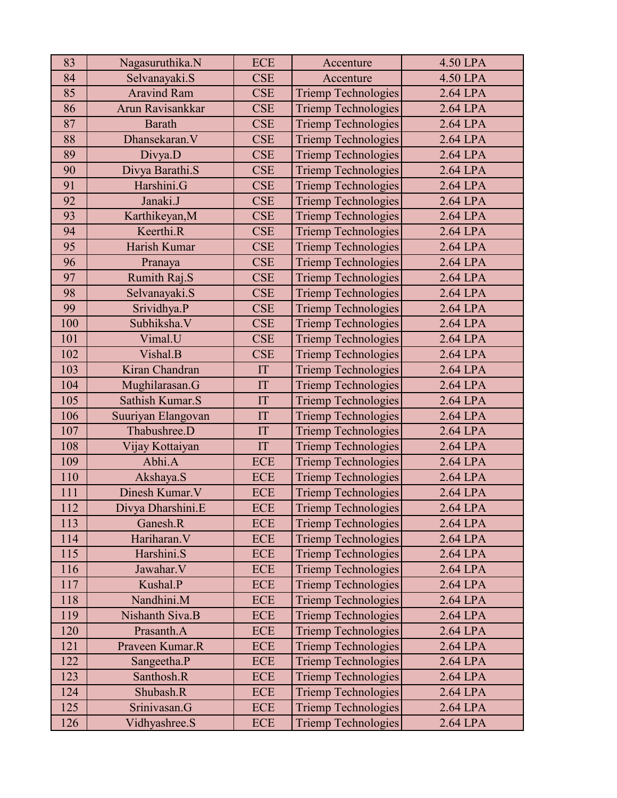| 83  | Nagasuruthika.N    | <b>ECE</b> | Accenture                  | 4.50 LPA   |
|-----|--------------------|------------|----------------------------|------------|
| 84  | Selvanayaki.S      | <b>CSE</b> | Accenture                  | 4.50 LPA   |
| 85  | <b>Aravind Ram</b> | <b>CSE</b> | <b>Triemp Technologies</b> | $2.64$ LPA |
| 86  | Arun Ravisankkar   | <b>CSE</b> | <b>Triemp Technologies</b> | 2.64 LPA   |
| 87  | <b>Barath</b>      | <b>CSE</b> | <b>Triemp Technologies</b> | 2.64 LPA   |
| 88  | Dhansekaran.V      | <b>CSE</b> | <b>Triemp Technologies</b> | 2.64 LPA   |
| 89  | Divya.D            | <b>CSE</b> | Triemp Technologies        | 2.64 LPA   |
| 90  | Divya Barathi.S    | <b>CSE</b> | Triemp Technologies        | $2.64$ LPA |
| 91  | Harshini.G         | <b>CSE</b> | Triemp Technologies        | 2.64 LPA   |
| 92  | Janaki.J           | <b>CSE</b> | Triemp Technologies        | 2.64 LPA   |
| 93  | Karthikeyan, M     | <b>CSE</b> | Triemp Technologies        | 2.64 LPA   |
| 94  | Keerthi.R          | <b>CSE</b> | Triemp Technologies        | 2.64 LPA   |
| 95  | Harish Kumar       | <b>CSE</b> | Triemp Technologies        | 2.64 LPA   |
| 96  | Pranaya            | <b>CSE</b> | Triemp Technologies        | 2.64 LPA   |
| 97  | Rumith Raj.S       | <b>CSE</b> | Triemp Technologies        | 2.64 LPA   |
| 98  | Selvanayaki.S      | <b>CSE</b> | Triemp Technologies        | 2.64 LPA   |
| 99  | Srividhya.P        | <b>CSE</b> | <b>Triemp Technologies</b> | 2.64 LPA   |
| 100 | Subhiksha.V        | <b>CSE</b> | <b>Triemp Technologies</b> | 2.64 LPA   |
| 101 | Vimal.U            | <b>CSE</b> | <b>Triemp Technologies</b> | 2.64 LPA   |
| 102 | Vishal.B           | <b>CSE</b> | Triemp Technologies        | 2.64 LPA   |
| 103 | Kiran Chandran     | IT         | Triemp Technologies        | 2.64 LPA   |
| 104 | Mughilarasan.G     | IT         | Triemp Technologies        | 2.64 LPA   |
| 105 | Sathish Kumar.S    | IT         | <b>Triemp Technologies</b> | 2.64 LPA   |
| 106 | Suuriyan Elangovan | IT         | Triemp Technologies        | 2.64 LPA   |
| 107 | Thabushree.D       | IT         | Triemp Technologies        | 2.64 LPA   |
| 108 | Vijay Kottaiyan    | IT         | Triemp Technologies        | 2.64 LPA   |
| 109 | Abhi.A             | <b>ECE</b> | Triemp Technologies        | 2.64 LPA   |
| 110 | Akshaya.S          | <b>ECE</b> | <b>Triemp Technologies</b> | 2.64 LPA   |
| 111 | Dinesh Kumar.V     | <b>ECE</b> | Triemp Technologies        | 2.64 LPA   |
| 112 | Divya Dharshini.E  | <b>ECE</b> | <b>Triemp Technologies</b> | 2.64 LPA   |
| 113 | Ganesh.R           | <b>ECE</b> | <b>Triemp Technologies</b> | 2.64 LPA   |
| 114 | Hariharan. V       | <b>ECE</b> | Triemp Technologies        | $2.64$ LPA |
| 115 | Harshini.S         | <b>ECE</b> | Triemp Technologies        | 2.64 LPA   |
| 116 | Jawahar.V          | ECE        | Triemp Technologies        | 2.64 LPA   |
| 117 | Kushal.P           | <b>ECE</b> | Triemp Technologies        | 2.64 LPA   |
| 118 | Nandhini.M         | <b>ECE</b> | Triemp Technologies        | 2.64 LPA   |
| 119 | Nishanth Siva.B    | <b>ECE</b> | Triemp Technologies        | 2.64 LPA   |
| 120 | Prasanth.A         | <b>ECE</b> | Triemp Technologies        | 2.64 LPA   |
| 121 | Praveen Kumar.R    | <b>ECE</b> | Triemp Technologies        | 2.64 LPA   |
| 122 | Sangeetha.P        | <b>ECE</b> | Triemp Technologies        | 2.64 LPA   |
| 123 | Santhosh.R         | <b>ECE</b> | <b>Triemp Technologies</b> | 2.64 LPA   |
| 124 | Shubash.R          | <b>ECE</b> | Triemp Technologies        | 2.64 LPA   |
| 125 | Srinivasan.G       | ECE        | <b>Triemp Technologies</b> | 2.64 LPA   |
| 126 | Vidhyashree.S      | <b>ECE</b> | Triemp Technologies        | 2.64 LPA   |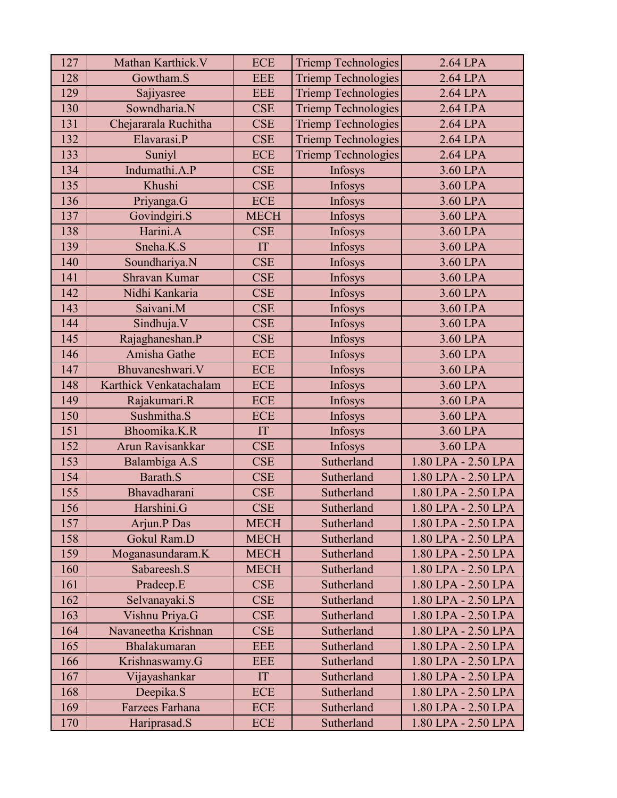| 127 | Mathan Karthick.V      | <b>ECE</b>  | <b>Triemp Technologies</b> | 2.64 LPA            |
|-----|------------------------|-------------|----------------------------|---------------------|
| 128 | Gowtham.S              | <b>EEE</b>  | <b>Triemp Technologies</b> | 2.64 LPA            |
| 129 | Sajiyasree             | <b>EEE</b>  | <b>Triemp Technologies</b> | $2.64$ LPA          |
| 130 | Sowndharia.N           | <b>CSE</b>  | <b>Triemp Technologies</b> | $2.64$ LPA          |
| 131 | Chejararala Ruchitha   | <b>CSE</b>  | <b>Triemp Technologies</b> | 2.64 LPA            |
| 132 | Elavarasi.P            | <b>CSE</b>  | <b>Triemp Technologies</b> | 2.64 LPA            |
| 133 | Suniyl                 | <b>ECE</b>  | <b>Triemp Technologies</b> | 2.64 LPA            |
| 134 | Indumathi.A.P          | <b>CSE</b>  | Infosys                    | 3.60 LPA            |
| 135 | Khushi                 | <b>CSE</b>  | Infosys                    | 3.60 LPA            |
| 136 | Priyanga.G             | <b>ECE</b>  | Infosys                    | 3.60 LPA            |
| 137 | Govindgiri.S           | <b>MECH</b> | Infosys                    | 3.60 LPA            |
| 138 | Harini.A               | <b>CSE</b>  | Infosys                    | 3.60 LPA            |
| 139 | Sneha.K.S              | IT          | Infosys                    | 3.60 LPA            |
| 140 | Soundhariya.N          | <b>CSE</b>  | Infosys                    | 3.60 LPA            |
| 141 | <b>Shravan Kumar</b>   | <b>CSE</b>  | Infosys                    | 3.60 LPA            |
| 142 | Nidhi Kankaria         | <b>CSE</b>  | Infosys                    | 3.60 LPA            |
| 143 | Saivani.M              | <b>CSE</b>  | Infosys                    | 3.60 LPA            |
| 144 | Sindhuja.V             | <b>CSE</b>  | Infosys                    | 3.60 LPA            |
| 145 | Rajaghaneshan.P        | <b>CSE</b>  | Infosys                    | 3.60 LPA            |
| 146 | Amisha Gathe           | <b>ECE</b>  | Infosys                    | 3.60 LPA            |
| 147 | Bhuvaneshwari.V        | <b>ECE</b>  | Infosys                    | 3.60 LPA            |
| 148 | Karthick Venkatachalam | <b>ECE</b>  | Infosys                    | 3.60 LPA            |
| 149 | Rajakumari.R           | <b>ECE</b>  | Infosys                    | 3.60 LPA            |
| 150 | Sushmitha.S            | <b>ECE</b>  | Infosys                    | 3.60 LPA            |
| 151 | Bhoomika.K.R           | IT          | Infosys                    | 3.60 LPA            |
| 152 | Arun Ravisankkar       | <b>CSE</b>  | Infosys                    | 3.60 LPA            |
| 153 | Balambiga A.S          | <b>CSE</b>  | Sutherland                 | 1.80 LPA - 2.50 LPA |
| 154 | Barath.S               | <b>CSE</b>  | Sutherland                 | 1.80 LPA - 2.50 LPA |
| 155 | Bhavadharani           | <b>CSE</b>  | Sutherland                 | 1.80 LPA - 2.50 LPA |
| 156 | Harshini.G             | CSE         | Sutherland                 | 1.80 LPA - 2.50 LPA |
| 157 | Arjun.P Das            | <b>MECH</b> | Sutherland                 | 1.80 LPA - 2.50 LPA |
| 158 | Gokul Ram.D            | <b>MECH</b> | Sutherland                 | 1.80 LPA - 2.50 LPA |
| 159 | Moganasundaram.K       | <b>MECH</b> | Sutherland                 | 1.80 LPA - 2.50 LPA |
| 160 | Sabareesh.S            | <b>MECH</b> | Sutherland                 | 1.80 LPA - 2.50 LPA |
| 161 | Pradeep.E              | <b>CSE</b>  | Sutherland                 | 1.80 LPA - 2.50 LPA |
| 162 | Selvanayaki.S          | <b>CSE</b>  | Sutherland                 | 1.80 LPA - 2.50 LPA |
| 163 | Vishnu Priya.G         | <b>CSE</b>  | Sutherland                 | 1.80 LPA - 2.50 LPA |
| 164 | Navaneetha Krishnan    | <b>CSE</b>  | Sutherland                 | 1.80 LPA - 2.50 LPA |
| 165 | Bhalakumaran           | <b>EEE</b>  | Sutherland                 | 1.80 LPA - 2.50 LPA |
| 166 | Krishnaswamy.G         | <b>EEE</b>  | Sutherland                 | 1.80 LPA - 2.50 LPA |
| 167 | Vijayashankar          | IT          | Sutherland                 | 1.80 LPA - 2.50 LPA |
| 168 | Deepika.S              | ECE         | Sutherland                 | 1.80 LPA - 2.50 LPA |
| 169 | Farzees Farhana        | ECE         | Sutherland                 | 1.80 LPA - 2.50 LPA |
| 170 | Hariprasad.S           | ECE         | Sutherland                 | 1.80 LPA - 2.50 LPA |
|     |                        |             |                            |                     |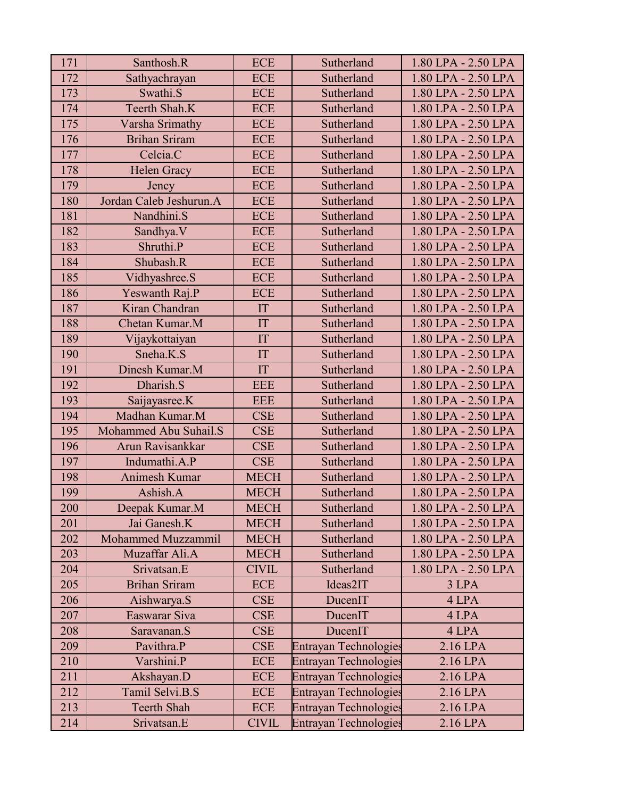| 171 | Santhosh.R                | <b>ECE</b>   | Sutherland                   | 1.80 LPA - 2.50 LPA |
|-----|---------------------------|--------------|------------------------------|---------------------|
| 172 | Sathyachrayan             | <b>ECE</b>   | Sutherland                   | 1.80 LPA - 2.50 LPA |
| 173 | Swathi.S                  | <b>ECE</b>   | Sutherland                   | 1.80 LPA - 2.50 LPA |
| 174 | Teerth Shah.K             | <b>ECE</b>   | Sutherland                   | 1.80 LPA - 2.50 LPA |
| 175 | Varsha Srimathy           | <b>ECE</b>   | Sutherland                   | 1.80 LPA - 2.50 LPA |
| 176 | <b>Brihan Sriram</b>      | <b>ECE</b>   | Sutherland                   | 1.80 LPA - 2.50 LPA |
| 177 | Celcia.C                  | <b>ECE</b>   | Sutherland                   | 1.80 LPA - 2.50 LPA |
| 178 | <b>Helen Gracy</b>        | <b>ECE</b>   | Sutherland                   | 1.80 LPA - 2.50 LPA |
| 179 | Jency                     | <b>ECE</b>   | Sutherland                   | 1.80 LPA - 2.50 LPA |
| 180 | Jordan Caleb Jeshurun.A   | <b>ECE</b>   | Sutherland                   | 1.80 LPA - 2.50 LPA |
| 181 | Nandhini.S                | <b>ECE</b>   | Sutherland                   | 1.80 LPA - 2.50 LPA |
| 182 | Sandhya.V                 | <b>ECE</b>   | Sutherland                   | 1.80 LPA - 2.50 LPA |
| 183 | Shruthi.P                 | <b>ECE</b>   | Sutherland                   | 1.80 LPA - 2.50 LPA |
| 184 | Shubash.R                 | <b>ECE</b>   | Sutherland                   | 1.80 LPA - 2.50 LPA |
| 185 | Vidhyashree.S             | <b>ECE</b>   | Sutherland                   | 1.80 LPA - 2.50 LPA |
| 186 | Yeswanth Raj.P            | <b>ECE</b>   | Sutherland                   | 1.80 LPA - 2.50 LPA |
| 187 | Kiran Chandran            | IT           | Sutherland                   | 1.80 LPA - 2.50 LPA |
| 188 | Chetan Kumar.M            | IT           | Sutherland                   | 1.80 LPA - 2.50 LPA |
| 189 | Vijaykottaiyan            | IT           | Sutherland                   | 1.80 LPA - 2.50 LPA |
| 190 | Sneha.K.S                 | IT           | Sutherland                   | 1.80 LPA - 2.50 LPA |
| 191 | Dinesh Kumar.M            | IT           | Sutherland                   | 1.80 LPA - 2.50 LPA |
| 192 | Dharish.S                 | <b>EEE</b>   | Sutherland                   | 1.80 LPA - 2.50 LPA |
| 193 | Saijayasree.K             | <b>EEE</b>   | Sutherland                   | 1.80 LPA - 2.50 LPA |
| 194 | Madhan Kumar.M            | <b>CSE</b>   | Sutherland                   | 1.80 LPA - 2.50 LPA |
| 195 | Mohammed Abu Suhail.S     | <b>CSE</b>   | Sutherland                   | 1.80 LPA - 2.50 LPA |
| 196 | Arun Ravisankkar          | <b>CSE</b>   | Sutherland                   | 1.80 LPA - 2.50 LPA |
| 197 | Indumathi.A.P             | <b>CSE</b>   | Sutherland                   | 1.80 LPA - 2.50 LPA |
| 198 | Animesh Kumar             | <b>MECH</b>  | Sutherland                   | 1.80 LPA - 2.50 LPA |
| 199 | Ashish.A                  | <b>MECH</b>  | Sutherland                   | 1.80 LPA - 2.50 LPA |
| 200 | Deepak Kumar.M            | <b>MECH</b>  | Sutherland                   | 1.80 LPA - 2.50 LPA |
| 201 | Jai Ganesh.K              | <b>MECH</b>  | Sutherland                   | 1.80 LPA - 2.50 LPA |
| 202 | <b>Mohammed Muzzammil</b> | <b>MECH</b>  | Sutherland                   | 1.80 LPA - 2.50 LPA |
| 203 | Muzaffar Ali.A            | <b>MECH</b>  | Sutherland                   | 1.80 LPA - 2.50 LPA |
| 204 | Srivatsan.E               | <b>CIVIL</b> | Sutherland                   | 1.80 LPA - 2.50 LPA |
| 205 | <b>Brihan Sriram</b>      | <b>ECE</b>   | Ideas2IT                     | 3 LPA               |
| 206 | Aishwarya.S               | <b>CSE</b>   | DucenIT                      | 4 LPA               |
| 207 | Easwarar Siva             | <b>CSE</b>   | DucenIT                      | 4 LPA               |
| 208 | Saravanan.S               | <b>CSE</b>   | DucenIT                      | 4 LPA               |
| 209 | Pavithra.P                | <b>CSE</b>   | <b>Entrayan Technologies</b> | 2.16 LPA            |
| 210 | Varshini.P                | <b>ECE</b>   | <b>Entrayan Technologies</b> | 2.16 LPA            |
| 211 | Akshayan.D                | <b>ECE</b>   | <b>Entrayan Technologies</b> | 2.16 LPA            |
| 212 | Tamil Selvi.B.S           | <b>ECE</b>   | <b>Entrayan Technologies</b> | 2.16 LPA            |
| 213 | <b>Teerth Shah</b>        | <b>ECE</b>   | <b>Entrayan Technologies</b> | 2.16 LPA            |
| 214 | Srivatsan.E               | <b>CIVIL</b> | <b>Entrayan Technologies</b> | 2.16 LPA            |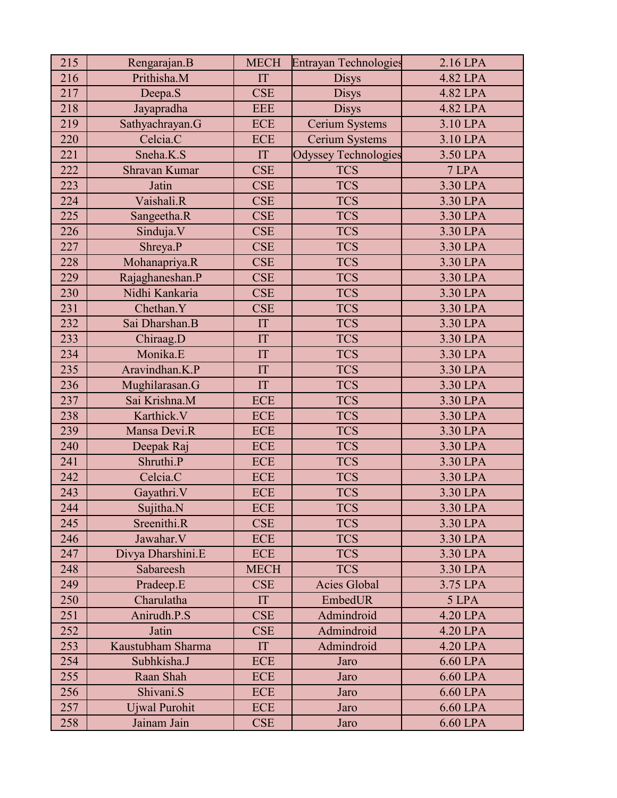| 215 | Rengarajan.B         | <b>MECH</b> | <b>Entrayan Technologies</b> | 2.16 LPA |
|-----|----------------------|-------------|------------------------------|----------|
| 216 | Prithisha.M          | IT          | <b>Disys</b>                 | 4.82 LPA |
| 217 | Deepa.S              | <b>CSE</b>  | <b>Disys</b>                 | 4.82 LPA |
| 218 | Jayapradha           | <b>EEE</b>  | <b>Disys</b>                 | 4.82 LPA |
| 219 | Sathyachrayan.G      | <b>ECE</b>  | Cerium Systems               | 3.10 LPA |
| 220 | Celcia.C             | <b>ECE</b>  | Cerium Systems               | 3.10 LPA |
| 221 | Sneha.K.S            | IT          | <b>Odyssey Technologies</b>  | 3.50 LPA |
| 222 | Shravan Kumar        | <b>CSE</b>  | <b>TCS</b>                   | 7 LPA    |
| 223 | Jatin                | <b>CSE</b>  | <b>TCS</b>                   | 3.30 LPA |
| 224 | Vaishali.R           | <b>CSE</b>  | <b>TCS</b>                   | 3.30 LPA |
| 225 | Sangeetha.R          | <b>CSE</b>  | <b>TCS</b>                   | 3.30 LPA |
| 226 | Sinduja.V            | <b>CSE</b>  | <b>TCS</b>                   | 3.30 LPA |
| 227 | Shreya.P             | <b>CSE</b>  | <b>TCS</b>                   | 3.30 LPA |
| 228 | Mohanapriya.R        | <b>CSE</b>  | <b>TCS</b>                   | 3.30 LPA |
| 229 | Rajaghaneshan.P      | <b>CSE</b>  | <b>TCS</b>                   | 3.30 LPA |
| 230 | Nidhi Kankaria       | <b>CSE</b>  | <b>TCS</b>                   | 3.30 LPA |
| 231 | Chethan.Y            | <b>CSE</b>  | <b>TCS</b>                   | 3.30 LPA |
| 232 | Sai Dharshan.B       | IT          | <b>TCS</b>                   | 3.30 LPA |
| 233 | Chiraag.D            | IT          | <b>TCS</b>                   | 3.30 LPA |
| 234 | Monika.E             | IT          | <b>TCS</b>                   | 3.30 LPA |
| 235 | Aravindhan.K.P       | IT          | <b>TCS</b>                   | 3.30 LPA |
| 236 | Mughilarasan.G       | IT          | <b>TCS</b>                   | 3.30 LPA |
| 237 | Sai Krishna.M        | <b>ECE</b>  | <b>TCS</b>                   | 3.30 LPA |
| 238 | Karthick.V           | <b>ECE</b>  | <b>TCS</b>                   | 3.30 LPA |
| 239 | Mansa Devi.R         | <b>ECE</b>  | <b>TCS</b>                   | 3.30 LPA |
| 240 | Deepak Raj           | <b>ECE</b>  | <b>TCS</b>                   | 3.30 LPA |
| 241 | Shruthi.P            | <b>ECE</b>  | <b>TCS</b>                   | 3.30 LPA |
| 242 | Celcia.C             | <b>ECE</b>  | <b>TCS</b>                   | 3.30 LPA |
| 243 | Gayathri.V           | <b>ECE</b>  | <b>TCS</b>                   | 3.30 LPA |
| 244 | Sujitha.N            | <b>ECE</b>  | <b>TCS</b>                   | 3.30 LPA |
| 245 | Sreenithi.R          | <b>CSE</b>  | <b>TCS</b>                   | 3.30 LPA |
| 246 | Jawahar.V            | <b>ECE</b>  | <b>TCS</b>                   | 3.30 LPA |
| 247 | Divya Dharshini.E    | <b>ECE</b>  | <b>TCS</b>                   | 3.30 LPA |
| 248 | Sabareesh            | <b>MECH</b> | <b>TCS</b>                   | 3.30 LPA |
| 249 | Pradeep.E            | <b>CSE</b>  | <b>Acies Global</b>          | 3.75 LPA |
| 250 | Charulatha           | IT          | EmbedUR                      | 5 LPA    |
| 251 | Anirudh.P.S          | <b>CSE</b>  | Admindroid                   | 4.20 LPA |
| 252 | Jatin                | <b>CSE</b>  | Admindroid                   | 4.20 LPA |
| 253 | Kaustubham Sharma    | IT          | Admindroid                   | 4.20 LPA |
| 254 | Subhkisha.J          | <b>ECE</b>  | Jaro                         | 6.60 LPA |
| 255 | Raan Shah            | <b>ECE</b>  | Jaro                         | 6.60 LPA |
| 256 | Shivani.S            | <b>ECE</b>  | Jaro                         | 6.60 LPA |
| 257 | <b>Ujwal Purohit</b> | <b>ECE</b>  | Jaro                         | 6.60 LPA |
| 258 | Jainam Jain          | <b>CSE</b>  | Jaro                         | 6.60 LPA |